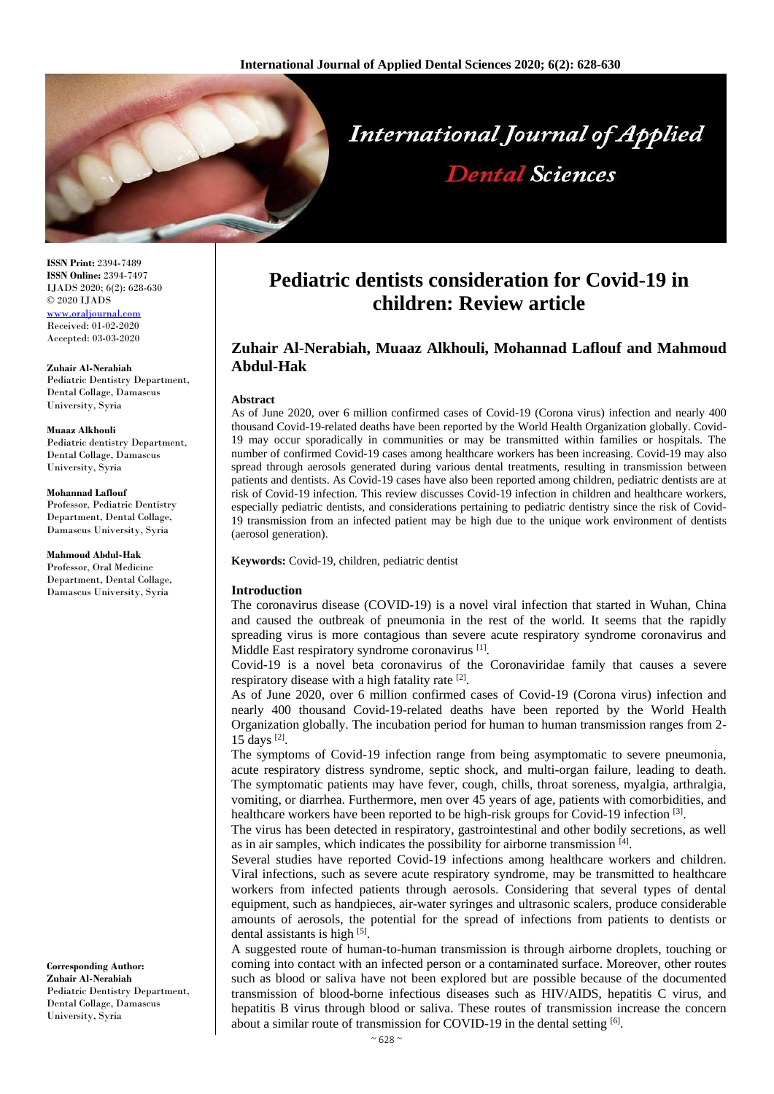

**ISSN Print:** 2394-7489 **ISSN Online:** 2394-7497 IJADS 2020; 6(2): 628-630 © 2020 IJADS <www.oraljournal.com> Received: 01-02-2020 Accepted: 03-03-2020

**Zuhair Al-Nerabiah** Pediatric Dentistry Department, Dental Collage, Damascus University, Syria

**Muaaz Alkhouli** Pediatric dentistry Department, Dental Collage, Damascus University, Syria

**Mohannad Laflouf** Professor, Pediatric Dentistry Department, Dental Collage, Damascus University, Syria

**Mahmoud Abdul-Hak** Professor, Oral Medicine Department, Dental Collage, Damascus University, Syria

**Corresponding Author: Zuhair Al-Nerabiah** Pediatric Dentistry Department, Dental Collage, Damascus University, Syria

# **Pediatric dentists consideration for Covid-19 in children: Review article**

## **Zuhair Al-Nerabiah, Muaaz Alkhouli, Mohannad Laflouf and Mahmoud Abdul-Hak**

## **Abstract**

As of June 2020, over 6 million confirmed cases of Covid-19 (Corona virus) infection and nearly 400 thousand Covid-19-related deaths have been reported by the World Health Organization globally. Covid-19 may occur sporadically in communities or may be transmitted within families or hospitals. The number of confirmed Covid-19 cases among healthcare workers has been increasing. Covid-19 may also spread through aerosols generated during various dental treatments, resulting in transmission between patients and dentists. As Covid-19 cases have also been reported among children, pediatric dentists are at risk of Covid-19 infection. This review discusses Covid-19 infection in children and healthcare workers, especially pediatric dentists, and considerations pertaining to pediatric dentistry since the risk of Covid-19 transmission from an infected patient may be high due to the unique work environment of dentists (aerosol generation).

**Keywords:** Covid-19, children, pediatric dentist

#### **Introduction**

The coronavirus disease (COVID-19) is a novel viral infection that started in Wuhan, China and caused the outbreak of pneumonia in the rest of the world. It seems that the rapidly spreading virus is more contagious than severe acute respiratory syndrome coronavirus and Middle East respiratory syndrome coronavirus<sup>[1]</sup>.

Covid-19 is a novel beta coronavirus of the Coronaviridae family that causes a severe respiratory disease with a high fatality rate [2].

As of June 2020, over 6 million confirmed cases of Covid-19 (Corona virus) infection and nearly 400 thousand Covid-19-related deaths have been reported by the World Health Organization globally. The incubation period for human to human transmission ranges from 2- 15 days [2] .

The symptoms of Covid-19 infection range from being asymptomatic to severe pneumonia, acute respiratory distress syndrome, septic shock, and multi-organ failure, leading to death. The symptomatic patients may have fever, cough, chills, throat soreness, myalgia, arthralgia, vomiting, or diarrhea. Furthermore, men over 45 years of age, patients with comorbidities, and healthcare workers have been reported to be high-risk groups for Covid-19 infection <sup>[3]</sup>.

The virus has been detected in respiratory, gastrointestinal and other bodily secretions, as well as in air samples, which indicates the possibility for airborne transmission [4].

Several studies have reported Covid-19 infections among healthcare workers and children. Viral infections, such as severe acute respiratory syndrome, may be transmitted to healthcare workers from infected patients through aerosols. Considering that several types of dental equipment, such as handpieces, air-water syringes and ultrasonic scalers, produce considerable amounts of aerosols, the potential for the spread of infections from patients to dentists or dental assistants is high [5].

A suggested route of human-to-human transmission is through airborne droplets, touching or coming into contact with an infected person or a contaminated surface. Moreover, other routes such as blood or saliva have not been explored but are possible because of the documented transmission of blood-borne infectious diseases such as HIV/AIDS, hepatitis C virus, and hepatitis B virus through blood or saliva. These routes of transmission increase the concern about a similar route of transmission for COVID-19 in the dental setting [6].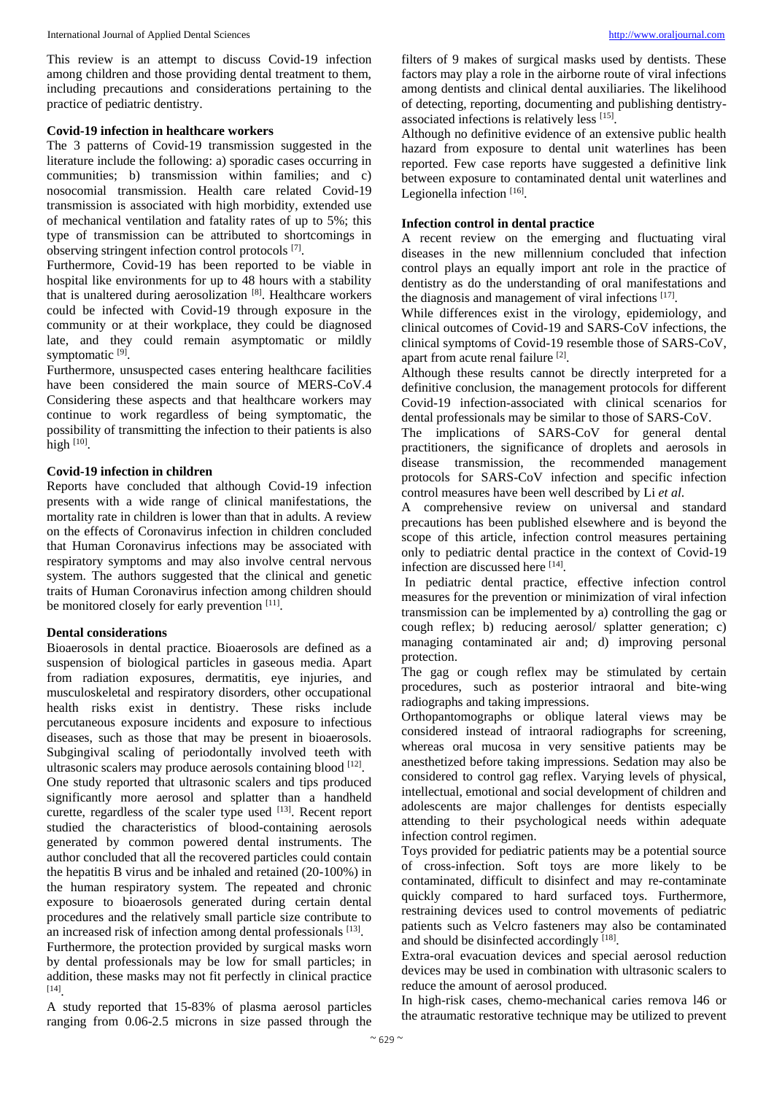This review is an attempt to discuss Covid-19 infection among children and those providing dental treatment to them, including precautions and considerations pertaining to the practice of pediatric dentistry.

## **Covid-19 infection in healthcare workers**

The 3 patterns of Covid-19 transmission suggested in the literature include the following: a) sporadic cases occurring in communities; b) transmission within families; and c) nosocomial transmission. Health care related Covid-19 transmission is associated with high morbidity, extended use of mechanical ventilation and fatality rates of up to 5%; this type of transmission can be attributed to shortcomings in observing stringent infection control protocols [7].

Furthermore, Covid-19 has been reported to be viable in hospital like environments for up to 48 hours with a stability that is unaltered during aerosolization [8]. Healthcare workers could be infected with Covid-19 through exposure in the community or at their workplace, they could be diagnosed late, and they could remain asymptomatic or mildly symptomatic<sup>[9]</sup>.

Furthermore, unsuspected cases entering healthcare facilities have been considered the main source of MERS-CoV.4 Considering these aspects and that healthcare workers may continue to work regardless of being symptomatic, the possibility of transmitting the infection to their patients is also high  $[10]$ .

## **Covid-19 infection in children**

Reports have concluded that although Covid-19 infection presents with a wide range of clinical manifestations, the mortality rate in children is lower than that in adults. A review on the effects of Coronavirus infection in children concluded that Human Coronavirus infections may be associated with respiratory symptoms and may also involve central nervous system. The authors suggested that the clinical and genetic traits of Human Coronavirus infection among children should be monitored closely for early prevention [11].

## **Dental considerations**

Bioaerosols in dental practice. Bioaerosols are defined as a suspension of biological particles in gaseous media. Apart from radiation exposures, dermatitis, eye injuries, and musculoskeletal and respiratory disorders, other occupational health risks exist in dentistry. These risks include percutaneous exposure incidents and exposure to infectious diseases, such as those that may be present in bioaerosols. Subgingival scaling of periodontally involved teeth with ultrasonic scalers may produce aerosols containing blood [12]. One study reported that ultrasonic scalers and tips produced significantly more aerosol and splatter than a handheld curette, regardless of the scaler type used [13]. Recent report studied the characteristics of blood-containing aerosols generated by common powered dental instruments. The author concluded that all the recovered particles could contain the hepatitis B virus and be inhaled and retained (20-100%) in the human respiratory system. The repeated and chronic exposure to bioaerosols generated during certain dental procedures and the relatively small particle size contribute to an increased risk of infection among dental professionals [13]. Furthermore, the protection provided by surgical masks worn by dental professionals may be low for small particles; in addition, these masks may not fit perfectly in clinical practice [14] .

A study reported that 15-83% of plasma aerosol particles ranging from 0.06-2.5 microns in size passed through the

filters of 9 makes of surgical masks used by dentists. These factors may play a role in the airborne route of viral infections among dentists and clinical dental auxiliaries. The likelihood of detecting, reporting, documenting and publishing dentistryassociated infections is relatively less [15] .

Although no definitive evidence of an extensive public health hazard from exposure to dental unit waterlines has been reported. Few case reports have suggested a definitive link between exposure to contaminated dental unit waterlines and Legionella infection [16].

## **Infection control in dental practice**

A recent review on the emerging and fluctuating viral diseases in the new millennium concluded that infection control plays an equally import ant role in the practice of dentistry as do the understanding of oral manifestations and the diagnosis and management of viral infections [17].

While differences exist in the virology, epidemiology, and clinical outcomes of Covid-19 and SARS-CoV infections, the clinical symptoms of Covid-19 resemble those of SARS-CoV, apart from acute renal failure [2].

Although these results cannot be directly interpreted for a definitive conclusion, the management protocols for different Covid-19 infection-associated with clinical scenarios for dental professionals may be similar to those of SARS-CoV.

The implications of SARS-CoV for general dental practitioners, the significance of droplets and aerosols in disease transmission, the recommended management protocols for SARS-CoV infection and specific infection control measures have been well described by Li *et al*.

A comprehensive review on universal and standard precautions has been published elsewhere and is beyond the scope of this article, infection control measures pertaining only to pediatric dental practice in the context of Covid-19 infection are discussed here [14].

In pediatric dental practice, effective infection control measures for the prevention or minimization of viral infection transmission can be implemented by a) controlling the gag or cough reflex; b) reducing aerosol/ splatter generation; c) managing contaminated air and; d) improving personal protection.

The gag or cough reflex may be stimulated by certain procedures, such as posterior intraoral and bite-wing radiographs and taking impressions.

Orthopantomographs or oblique lateral views may be considered instead of intraoral radiographs for screening, whereas oral mucosa in very sensitive patients may be anesthetized before taking impressions. Sedation may also be considered to control gag reflex. Varying levels of physical, intellectual, emotional and social development of children and adolescents are major challenges for dentists especially attending to their psychological needs within adequate infection control regimen.

Toys provided for pediatric patients may be a potential source of cross-infection. Soft toys are more likely to be contaminated, difficult to disinfect and may re-contaminate quickly compared to hard surfaced toys. Furthermore, restraining devices used to control movements of pediatric patients such as Velcro fasteners may also be contaminated and should be disinfected accordingly [18].

Extra-oral evacuation devices and special aerosol reduction devices may be used in combination with ultrasonic scalers to reduce the amount of aerosol produced.

In high-risk cases, chemo-mechanical caries remova l46 or the atraumatic restorative technique may be utilized to prevent